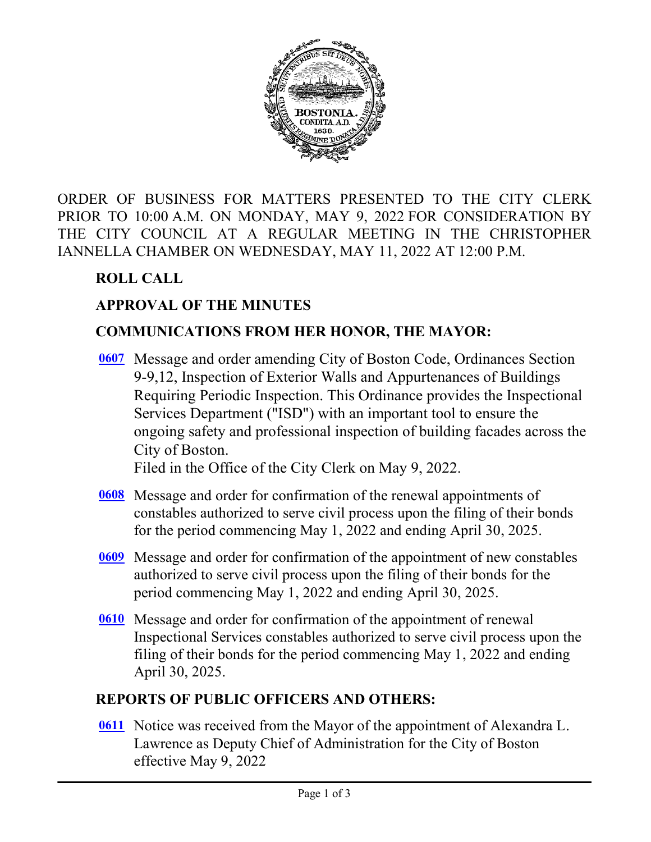

ORDER OF BUSINESS FOR MATTERS PRESENTED TO THE CITY CLERK PRIOR TO 10:00 A.M. ON MONDAY, MAY 9, 2022 FOR CONSIDERATION BY THE CITY COUNCIL AT A REGULAR MEETING IN THE CHRISTOPHER IANNELLA CHAMBER ON WEDNESDAY, MAY 11, 2022 AT 12:00 P.M.

# **ROLL CALL**

# **APPROVAL OF THE MINUTES**

# **COMMUNICATIONS FROM HER HONOR, THE MAYOR:**

Message and order amending City of Boston Code, Ordinances Section **[0607](http://boston.legistar.com/gateway.aspx?m=l&id=/matter.aspx?key=5752)** 9-9,12, Inspection of Exterior Walls and Appurtenances of Buildings Requiring Periodic Inspection. This Ordinance provides the Inspectional Services Department ("ISD") with an important tool to ensure the ongoing safety and professional inspection of building facades across the City of Boston.

Filed in the Office of the City Clerk on May 9, 2022.

- [0608](http://boston.legistar.com/gateway.aspx?m=l&id=/matter.aspx?key=5742) Message and order for confirmation of the renewal appointments of constables authorized to serve civil process upon the filing of their bonds for the period commencing May 1, 2022 and ending April 30, 2025.
- Message and order for confirmation of the appointment of new constables **[0609](http://boston.legistar.com/gateway.aspx?m=l&id=/matter.aspx?key=5740)** authorized to serve civil process upon the filing of their bonds for the period commencing May 1, 2022 and ending April 30, 2025.
- **[0610](http://boston.legistar.com/gateway.aspx?m=l&id=/matter.aspx?key=5741)** Message and order for confirmation of the appointment of renewal Inspectional Services constables authorized to serve civil process upon the filing of their bonds for the period commencing May 1, 2022 and ending April 30, 2025.

## **REPORTS OF PUBLIC OFFICERS AND OTHERS:**

**[0611](http://boston.legistar.com/gateway.aspx?m=l&id=/matter.aspx?key=5758)** Notice was received from the Mayor of the appointment of Alexandra L. Lawrence as Deputy Chief of Administration for the City of Boston effective May 9, 2022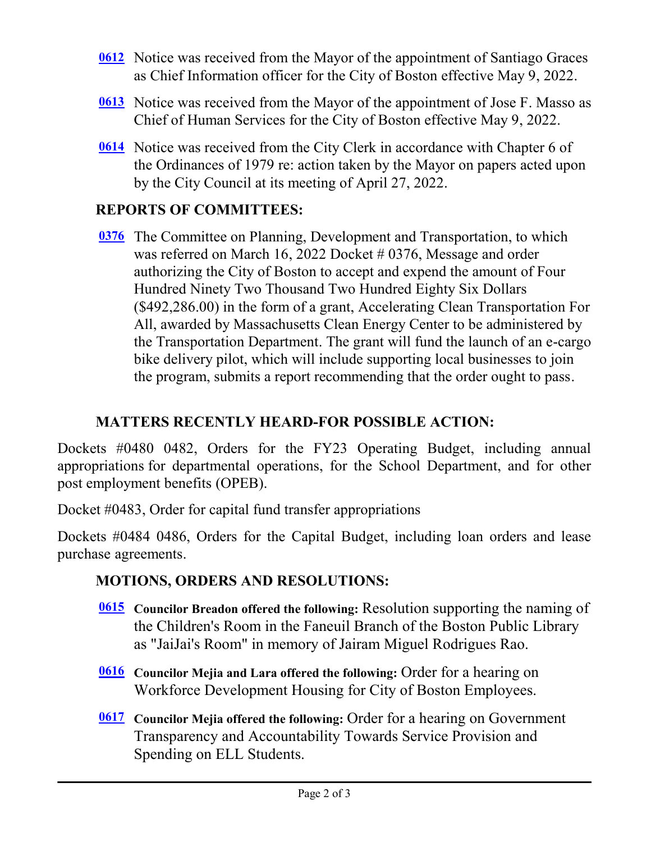- [0612](http://boston.legistar.com/gateway.aspx?m=l&id=/matter.aspx?key=5759) Notice was received from the Mayor of the appointment of Santiago Graces as Chief Information officer for the City of Boston effective May 9, 2022.
- [0613](http://boston.legistar.com/gateway.aspx?m=l&id=/matter.aspx?key=5760) Notice was received from the Mayor of the appointment of Jose F. Masso as Chief of Human Services for the City of Boston effective May 9, 2022.
- **[0614](http://boston.legistar.com/gateway.aspx?m=l&id=/matter.aspx?key=5761)** Notice was received from the City Clerk in accordance with Chapter 6 of the Ordinances of 1979 re: action taken by the Mayor on papers acted upon by the City Council at its meeting of April 27, 2022.

# **REPORTS OF COMMITTEES:**

[0376](http://boston.legistar.com/gateway.aspx?m=l&id=/matter.aspx?key=5470) The Committee on Planning, Development and Transportation, to which was referred on March 16, 2022 Docket # 0376, Message and order authorizing the City of Boston to accept and expend the amount of Four Hundred Ninety Two Thousand Two Hundred Eighty Six Dollars (\$492,286.00) in the form of a grant, Accelerating Clean Transportation For All, awarded by Massachusetts Clean Energy Center to be administered by the Transportation Department. The grant will fund the launch of an e-cargo bike delivery pilot, which will include supporting local businesses to join the program, submits a report recommending that the order ought to pass.

## **MATTERS RECENTLY HEARD-FOR POSSIBLE ACTION:**

Dockets #0480 0482, Orders for the FY23 Operating Budget, including annual appropriations for departmental operations, for the School Department, and for other post employment benefits (OPEB).

Docket #0483, Order for capital fund transfer appropriations

Dockets #0484 0486, Orders for the Capital Budget, including loan orders and lease purchase agreements.

## **MOTIONS, ORDERS AND RESOLUTIONS:**

- **[0615](http://boston.legistar.com/gateway.aspx?m=l&id=/matter.aspx?key=5744)** Councilor Breadon offered the following: Resolution supporting the naming of the Children's Room in the Faneuil Branch of the Boston Public Library as "JaiJai's Room" in memory of Jairam Miguel Rodrigues Rao.
- **Councilor Mejia and Lara offered the following:** Order for a hearing on **[0616](http://boston.legistar.com/gateway.aspx?m=l&id=/matter.aspx?key=5750)** Workforce Development Housing for City of Boston Employees.
- **[0617](http://boston.legistar.com/gateway.aspx?m=l&id=/matter.aspx?key=5753)** Councilor Mejia offered the following: Order for a hearing on Government Transparency and Accountability Towards Service Provision and Spending on ELL Students.